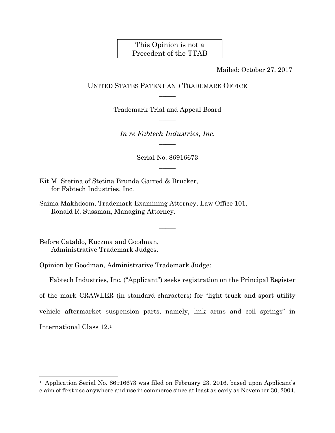## This Opinion is not a Precedent of the TTAB

Mailed: October 27, 2017

## UNITED STATES PATENT AND TRADEMARK OFFICE  $\overline{\phantom{a}}$

Trademark Trial and Appeal Board  $\overline{\phantom{a}}$ 

*In re Fabtech Industries, Inc.*   $\overline{\phantom{a}}$ 

> Serial No. 86916673  $\overline{\phantom{a}}$

> > $\overline{\phantom{a}}$

Kit M. Stetina of Stetina Brunda Garred & Brucker, for Fabtech Industries, Inc.

Saima Makhdoom, Trademark Examining Attorney, Law Office 101, Ronald R. Sussman, Managing Attorney.

Before Cataldo, Kuczma and Goodman, Administrative Trademark Judges.

 $\overline{a}$ 

Opinion by Goodman, Administrative Trademark Judge:

Fabtech Industries, Inc. ("Applicant") seeks registration on the Principal Register of the mark CRAWLER (in standard characters) for "light truck and sport utility vehicle aftermarket suspension parts, namely, link arms and coil springs" in International Class 12.1

<sup>&</sup>lt;sup>1</sup> Application Serial No. 86916673 was filed on February 23, 2016, based upon Applicant's claim of first use anywhere and use in commerce since at least as early as November 30, 2004.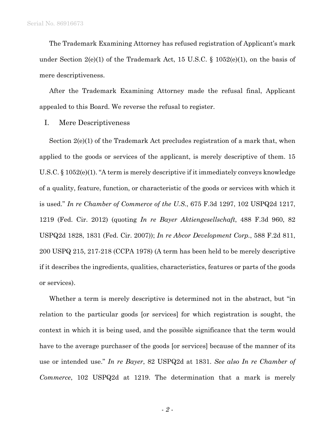The Trademark Examining Attorney has refused registration of Applicant's mark under Section  $2(e)(1)$  of the Trademark Act, 15 U.S.C. § 1052(e)(1), on the basis of mere descriptiveness.

After the Trademark Examining Attorney made the refusal final, Applicant appealed to this Board. We reverse the refusal to register.

## I. Mere Descriptiveness

Section 2(e)(1) of the Trademark Act precludes registration of a mark that, when applied to the goods or services of the applicant, is merely descriptive of them. 15 U.S.C. § 1052(e)(1). "A term is merely descriptive if it immediately conveys knowledge of a quality, feature, function, or characteristic of the goods or services with which it is used." *In re Chamber of Commerce of the U.S*., 675 F.3d 1297, 102 USPQ2d 1217, 1219 (Fed. Cir. 2012) (quoting *In re Bayer Aktiengesellschaft*, 488 F.3d 960, 82 USPQ2d 1828, 1831 (Fed. Cir. 2007)); *In re Abcor Development Corp.*, 588 F.2d 811, 200 USPQ 215, 217-218 (CCPA 1978) (A term has been held to be merely descriptive if it describes the ingredients, qualities, characteristics, features or parts of the goods or services).

Whether a term is merely descriptive is determined not in the abstract, but "in relation to the particular goods [or services] for which registration is sought, the context in which it is being used, and the possible significance that the term would have to the average purchaser of the goods [or services] because of the manner of its use or intended use." *In re Bayer*, 82 USPQ2d at 1831. *See also In re Chamber of Commerce*, 102 USPQ2d at 1219. The determination that a mark is merely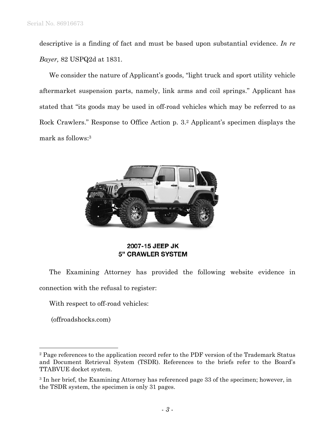descriptive is a finding of fact and must be based upon substantial evidence. *In re Bayer,* 82 USPQ2d at 1831.

We consider the nature of Applicant's goods, "light truck and sport utility vehicle aftermarket suspension parts, namely, link arms and coil springs." Applicant has stated that "its goods may be used in off-road vehicles which may be referred to as Rock Crawlers." Response to Office Action p. 3.2 Applicant's specimen displays the mark as follows:3



## 2007-15 JEEP JK **5" CRAWLER SYSTEM**

The Examining Attorney has provided the following website evidence in connection with the refusal to register:

With respect to off-road vehicles:

(offroadshocks.com)

 $\overline{a}$ 

<sup>&</sup>lt;sup>2</sup> Page references to the application record refer to the PDF version of the Trademark Status and Document Retrieval System (TSDR). References to the briefs refer to the Board's TTABVUE docket system.

<sup>3</sup> In her brief, the Examining Attorney has referenced page 33 of the specimen; however, in the TSDR system, the specimen is only 31 pages.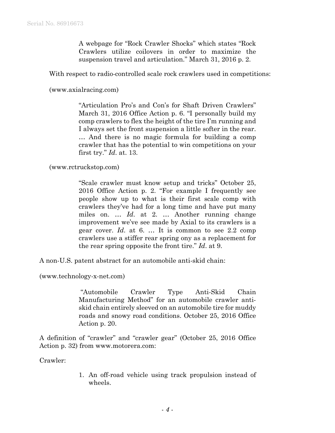A webpage for "Rock Crawler Shocks" which states "Rock Crawlers utilize coilovers in order to maximize the suspension travel and articulation." March 31, 2016 p. 2.

With respect to radio-controlled scale rock crawlers used in competitions:

(www.axialracing.com)

"Articulation Pro's and Con's for Shaft Driven Crawlers" March 31, 2016 Office Action p. 6. "I personally build my comp crawlers to flex the height of the tire I'm running and I always set the front suspension a little softer in the rear. … And there is no magic formula for building a comp crawler that has the potential to win competitions on your first try." *Id*. at. 13.

(www.rctruckstop.com)

"Scale crawler must know setup and tricks" October 25, 2016 Office Action p. 2. "For example I frequently see people show up to what is their first scale comp with crawlers they've had for a long time and have put many miles on. … *Id*. at 2. … Another running change improvement we've see made by Axial to its crawlers is a gear cover. *Id*. at 6. … It is common to see 2.2 comp crawlers use a stiffer rear spring ony as a replacement for the rear spring opposite the front tire." *Id*. at 9.

A non-U.S. patent abstract for an automobile anti-skid chain:

(www.technology-x-net.com)

 "Automobile Crawler Type Anti-Skid Chain Manufacturing Method" for an automobile crawler antiskid chain entirely sleeved on an automobile tire for muddy roads and snowy road conditions. October 25, 2016 Office Action p. 20.

A definition of "crawler" and "crawler gear" (October 25, 2016 Office Action p. 32) from www.motorera.com:

Crawler:

1. An off-road vehicle using track propulsion instead of wheels.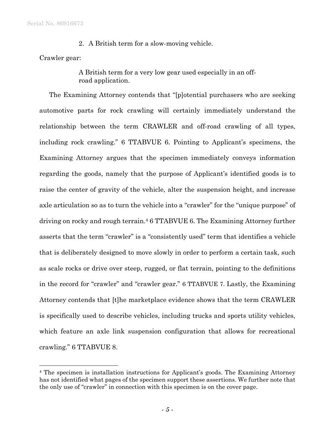Serial No. 86916673

2. A British term for a slow-moving vehicle.

Crawler gear:

l

A British term for a very low gear used especially in an offroad application.

The Examining Attorney contends that "[p]otential purchasers who are seeking automotive parts for rock crawling will certainly immediately understand the relationship between the term CRAWLER and off-road crawling of all types, including rock crawling." 6 TTABVUE 6. Pointing to Applicant's specimens, the Examining Attorney argues that the specimen immediately conveys information regarding the goods, namely that the purpose of Applicant's identified goods is to raise the center of gravity of the vehicle, alter the suspension height, and increase axle articulation so as to turn the vehicle into a "crawler" for the "unique purpose" of driving on rocky and rough terrain.4 6 TTABVUE 6. The Examining Attorney further asserts that the term "crawler" is a "consistently used" term that identifies a vehicle that is deliberately designed to move slowly in order to perform a certain task, such as scale rocks or drive over steep, rugged, or flat terrain, pointing to the definitions in the record for "crawler" and "crawler gear." 6 TTABVUE 7. Lastly, the Examining Attorney contends that [t]he marketplace evidence shows that the term CRAWLER is specifically used to describe vehicles, including trucks and sports utility vehicles, which feature an axle link suspension configuration that allows for recreational crawling." 6 TTABVUE 8.

<sup>4</sup> The specimen is installation instructions for Applicant's goods. The Examining Attorney has not identified what pages of the specimen support these assertions. We further note that the only use of "crawler" in connection with this specimen is on the cover page.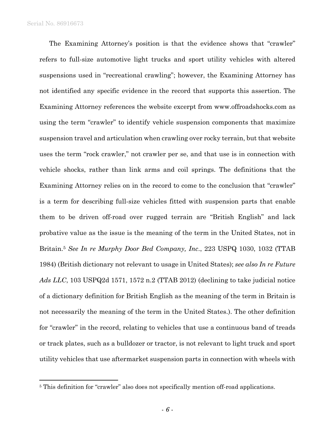$\overline{a}$ 

The Examining Attorney's position is that the evidence shows that "crawler" refers to full-size automotive light trucks and sport utility vehicles with altered suspensions used in "recreational crawling"; however, the Examining Attorney has not identified any specific evidence in the record that supports this assertion. The Examining Attorney references the website excerpt from www.offroadshocks.com as using the term "crawler" to identify vehicle suspension components that maximize suspension travel and articulation when crawling over rocky terrain, but that website uses the term "rock crawler," not crawler per se, and that use is in connection with vehicle shocks, rather than link arms and coil springs. The definitions that the Examining Attorney relies on in the record to come to the conclusion that "crawler" is a term for describing full-size vehicles fitted with suspension parts that enable them to be driven off-road over rugged terrain are "British English" and lack probative value as the issue is the meaning of the term in the United States, not in Britain.5 *See In re Murphy Door Bed Company, Inc*., 223 USPQ 1030, 1032 (TTAB 1984) (British dictionary not relevant to usage in United States); *see also In re Future Ads LLC*, 103 USPQ2d 1571, 1572 n.2 (TTAB 2012) (declining to take judicial notice of a dictionary definition for British English as the meaning of the term in Britain is not necessarily the meaning of the term in the United States.). The other definition for "crawler" in the record, relating to vehicles that use a continuous band of treads or track plates, such as a bulldozer or tractor, is not relevant to light truck and sport utility vehicles that use aftermarket suspension parts in connection with wheels with

<sup>5</sup> This definition for "crawler" also does not specifically mention off-road applications.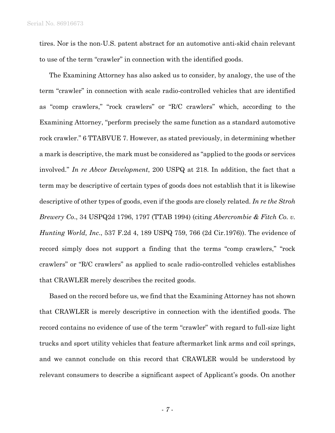tires. Nor is the non-U.S. patent abstract for an automotive anti-skid chain relevant to use of the term "crawler" in connection with the identified goods.

The Examining Attorney has also asked us to consider, by analogy, the use of the term "crawler" in connection with scale radio-controlled vehicles that are identified as "comp crawlers," "rock crawlers" or "R/C crawlers" which, according to the Examining Attorney, "perform precisely the same function as a standard automotive rock crawler." 6 TTABVUE 7. However, as stated previously, in determining whether a mark is descriptive, the mark must be considered as "applied to the goods or services involved." *In re Abcor Development*, 200 USPQ at 218. In addition, the fact that a term may be descriptive of certain types of goods does not establish that it is likewise descriptive of other types of goods, even if the goods are closely related. *In re the Stroh Brewery Co*., 34 USPQ2d 1796, 1797 (TTAB 1994) (citing *Abercrombie & Fitch Co. v. Hunting World, Inc*., 537 F.2d 4, 189 USPQ 759, 766 (2d Cir.1976)). The evidence of record simply does not support a finding that the terms "comp crawlers," "rock crawlers" or "R/C crawlers" as applied to scale radio-controlled vehicles establishes that CRAWLER merely describes the recited goods.

Based on the record before us, we find that the Examining Attorney has not shown that CRAWLER is merely descriptive in connection with the identified goods. The record contains no evidence of use of the term "crawler" with regard to full-size light trucks and sport utility vehicles that feature aftermarket link arms and coil springs, and we cannot conclude on this record that CRAWLER would be understood by relevant consumers to describe a significant aspect of Applicant's goods. On another